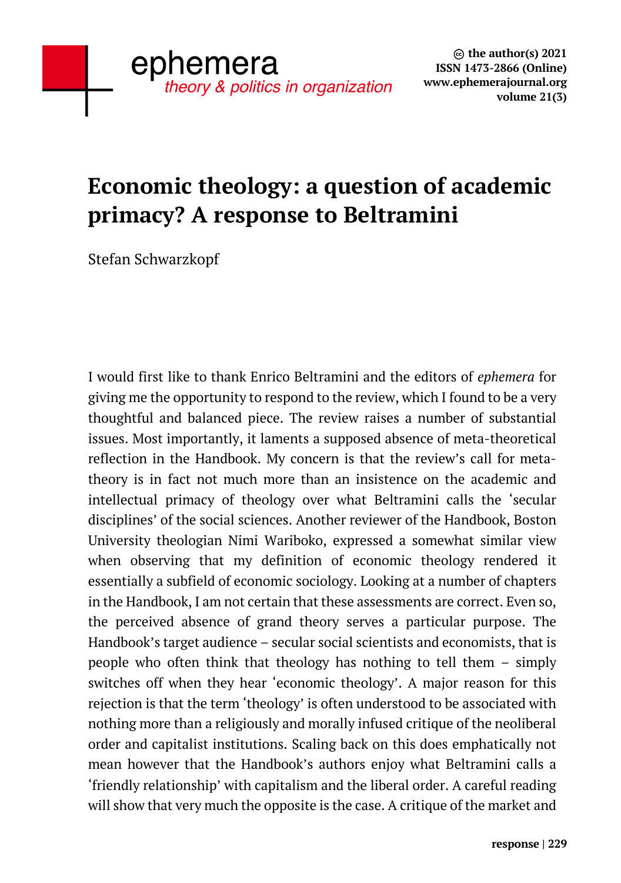## **Economic theology: a question of academic primacy? A response to Beltramini**

Stefan Schwarzkopf

I would first like to thank Enrico Beltramini and the editors of *ephemera* for giving me the opportunity to respond to the review, which I found to be a very thoughtful and balanced piece. The review raises a number of substantial issues. Most importantly, it laments a supposed absence of meta-theoretical reflection in the Handbook. My concern is that the review's call for metatheory is in fact not much more than an insistence on the academic and intellectual primacy of theology over what Beltramini calls the 'secular disciplines' of the social sciences. Another reviewer of the Handbook, Boston University theologian Nimi Wariboko, expressed a somewhat similar view when observing that my definition of economic theology rendered it essentially a subfield of economic sociology. Looking at a number of chapters in the Handbook, I am not certain that these assessments are correct. Even so, the perceived absence of grand theory serves a particular purpose. The Handbook's target audience – secular social scientists and economists, that is people who often think that theology has nothing to tell them – simply switches off when they hear 'economic theology'. A major reason for this rejection is that the term 'theology' is often understood to be associated with nothing more than a religiously and morally infused critique of the neoliberal order and capitalist institutions. Scaling back on this does emphatically not mean however that the Handbook's authors enjoy what Beltramini calls a 'friendly relationship' with capitalism and the liberal order. A careful reading will show that very much the opposite is the case. A critique of the market and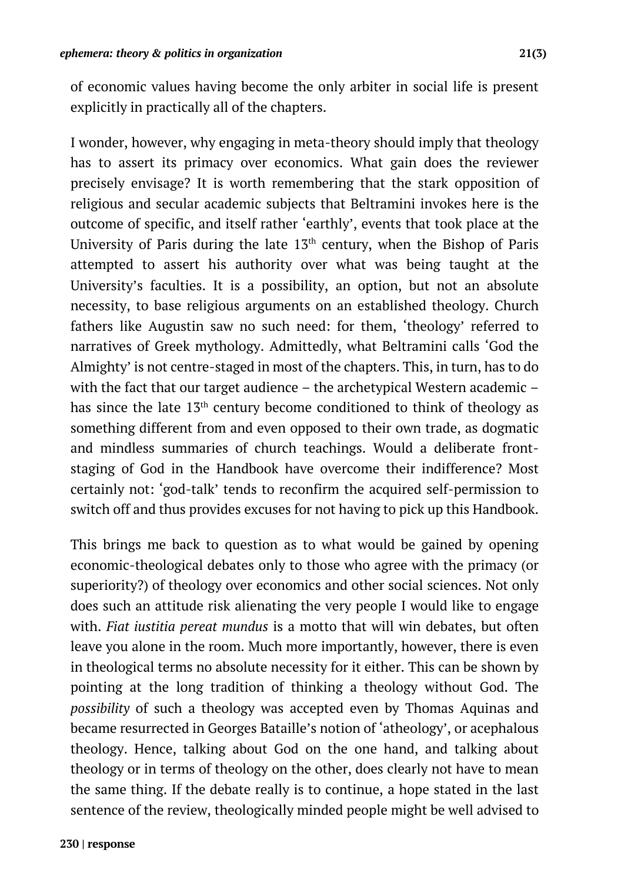of economic values having become the only arbiter in social life is present explicitly in practically all of the chapters.

I wonder, however, why engaging in meta-theory should imply that theology has to assert its primacy over economics. What gain does the reviewer precisely envisage? It is worth remembering that the stark opposition of religious and secular academic subjects that Beltramini invokes here is the outcome of specific, and itself rather 'earthly', events that took place at the University of Paris during the late  $13<sup>th</sup>$  century, when the Bishop of Paris attempted to assert his authority over what was being taught at the University's faculties. It is a possibility, an option, but not an absolute necessity, to base religious arguments on an established theology. Church fathers like Augustin saw no such need: for them, 'theology' referred to narratives of Greek mythology. Admittedly, what Beltramini calls 'God the Almighty' is not centre-staged in most of the chapters. This, in turn, has to do with the fact that our target audience – the archetypical Western academic – has since the late 13<sup>th</sup> century become conditioned to think of theology as something different from and even opposed to their own trade, as dogmatic and mindless summaries of church teachings. Would a deliberate frontstaging of God in the Handbook have overcome their indifference? Most certainly not: 'god-talk' tends to reconfirm the acquired self-permission to switch off and thus provides excuses for not having to pick up this Handbook.

This brings me back to question as to what would be gained by opening economic-theological debates only to those who agree with the primacy (or superiority?) of theology over economics and other social sciences. Not only does such an attitude risk alienating the very people I would like to engage with. *Fiat iustitia pereat mundus* is a motto that will win debates, but often leave you alone in the room. Much more importantly, however, there is even in theological terms no absolute necessity for it either. This can be shown by pointing at the long tradition of thinking a theology without God. The *possibility* of such a theology was accepted even by Thomas Aquinas and became resurrected in Georges Bataille's notion of 'atheology', or acephalous theology. Hence, talking about God on the one hand, and talking about theology or in terms of theology on the other, does clearly not have to mean the same thing. If the debate really is to continue, a hope stated in the last sentence of the review, theologically minded people might be well advised to